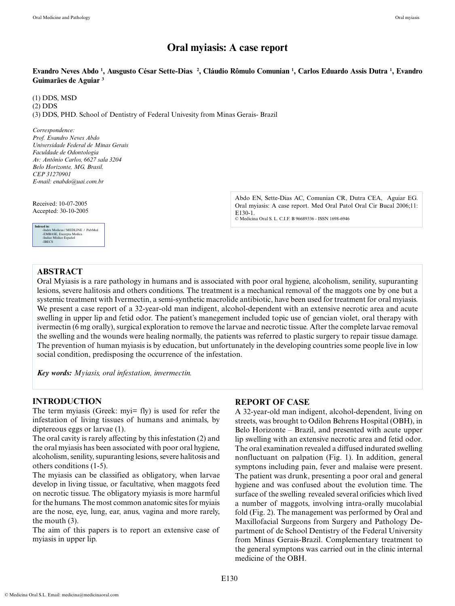# **Oral myiasis: A case report**

## **Evandro Neves Abdo 1 , Ausgusto César Sette-Dias 2 , Cláudio Rômulo Comunian 1 , Carlos Eduardo Assis Dutra 1 , Evandro Guimarães de Aguiar 3**

(1) DDS, MSD (2) DDS (3) DDS, PHD. School of Dentistry of Federal Univesity from Minas Gerais- Brazil

*Correspondence: Prof. Evandro Neves Abdo Universidade Federal de Minas Gerais Faculdade de Odontologia Av: Antônio Carlos, 6627 sala 3204 Belo Horizonte, MG, Brasil. CEP 31270901 E-mail: enabdo@uai.com.br*

Received: 10-07-2005 Accepted: 30-10-2005



Abdo EN, Sette-Dias AC, Comunian CR, Dutra CEA, Aguiar EG. Oral myiasis: A case report. Med Oral Patol Oral Cir Bucal 2006;11: E130-1. © Medicina Oral S. L. C.I.F. B 96689336 - ISSN 1698-6946

## **ABSTRACT**

Oral Myiasis is a rare pathology in humans and is associated with poor oral hygiene, alcoholism, senility, supuranting lesions, severe halitosis and others conditions. The treatment is a mechanical removal of the maggots one by one but a systemic treatment with Ivermectin, a semi-synthetic macrolide antibiotic, have been used for treatment for oral myiasis. We present a case report of a 32-year-old man indigent, alcohol-dependent with an extensive necrotic area and acute swelling in upper lip and fetid odor. The patient's manegement included topic use of gencian violet, oral therapy with ivermectin (6 mg orally), surgical exploration to remove the larvae and necrotic tissue. After the complete larvae removal the swelling and the wounds were healing normally, the patients was referred to plastic surgery to repair tissue damage. The prevention of human myiasis is by education, but unfortunately in the developing countries some people live in low social condition, predisposing the occurrence of the infestation.

*Key words: Myiasis, oral infestation, invermectin.*

### **INTRODUCTION**

The term myiasis (Greek: myi= fly) is used for refer the infestation of living tissues of humans and animals, by diptereous eggs or larvae (1).

The oral cavity is rarely affecting by this infestation (2) and the oral myiasis has been associated with poor oral hygiene, alcoholism, senility, supuranting lesions, severe halitosis and others conditions (1-5).

The myiasis can be classified as obligatory, when larvae develop in living tissue, or facultative, when maggots feed on necrotic tissue. The obligatory myiasis is more harmful for the humans. The most common anatomic sites for myiais are the nose, eye, lung, ear, anus, vagina and more rarely, the mouth (3).

The aim of this papers is to report an extensive case of myiasis in upper lip.

### **REPORT OF CASE**

A 32-year-old man indigent, alcohol-dependent, living on streets, was brought to Odilon Behrens Hospital (OBH), in Belo Horizonte – Brazil, and presented with acute upper lip swelling with an extensive necrotic area and fetid odor. The oral examination revealed a diffused indurated swelling nonfluctuant on palpation (Fig. 1). In addition, general symptons including pain, fever and malaise were present. The patient was drunk, presenting a poor oral and general hygiene and was confused about the evolution time. The surface of the swelling revealed several orificies which lived a number of maggots, involving intra-orally mucolabial fold (Fig. 2). The management was performed by Oral and Maxillofacial Surgeons from Surgery and Pathology Department of de School Dentistry of the Federal University from Minas Gerais-Brazil. Complementary treatment to the general symptons was carried out in the clinic internal medicine of the OBH.